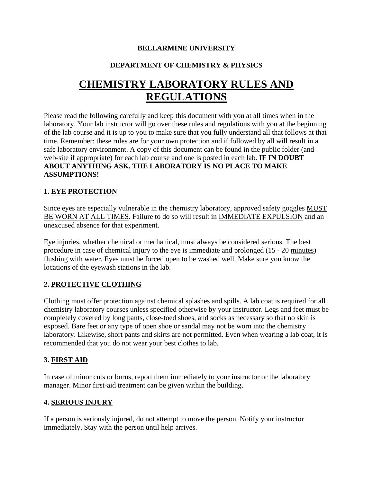#### **BELLARMINE UNIVERSITY**

# **DEPARTMENT OF CHEMISTRY & PHYSICS**

# **CHEMISTRY LABORATORY RULES AND REGULATIONS**

Please read the following carefully and keep this document with you at all times when in the laboratory. Your lab instructor will go over these rules and regulations with you at the beginning of the lab course and it is up to you to make sure that you fully understand all that follows at that time. Remember: these rules are for your own protection and if followed by all will result in a safe laboratory environment. A copy of this document can be found in the public folder (and web-site if appropriate) for each lab course and one is posted in each lab. **IF IN DOUBT ABOUT ANYTHING ASK. THE LABORATORY IS NO PLACE TO MAKE ASSUMPTIONS!**

#### **1. EYE PROTECTION**

Since eyes are especially vulnerable in the chemistry laboratory, approved safety goggles MUST BE WORN AT ALL TIMES. Failure to do so will result in IMMEDIATE EXPULSION and an unexcused absence for that experiment.

Eye injuries, whether chemical or mechanical, must always be considered serious. The best procedure in case of chemical injury to the eye is immediate and prolonged (15 - 20 minutes) flushing with water. Eyes must be forced open to be washed well. Make sure you know the locations of the eyewash stations in the lab.

#### **2. PROTECTIVE CLOTHING**

Clothing must offer protection against chemical splashes and spills. A lab coat is required for all chemistry laboratory courses unless specified otherwise by your instructor. Legs and feet must be completely covered by long pants, close-toed shoes, and socks as necessary so that no skin is exposed. Bare feet or any type of open shoe or sandal may not be worn into the chemistry laboratory. Likewise, short pants and skirts are not permitted. Even when wearing a lab coat, it is recommended that you do not wear your best clothes to lab.

#### **3. FIRST AID**

In case of minor cuts or burns, report them immediately to your instructor or the laboratory manager. Minor first-aid treatment can be given within the building.

#### **4. SERIOUS INJURY**

If a person is seriously injured, do not attempt to move the person. Notify your instructor immediately. Stay with the person until help arrives.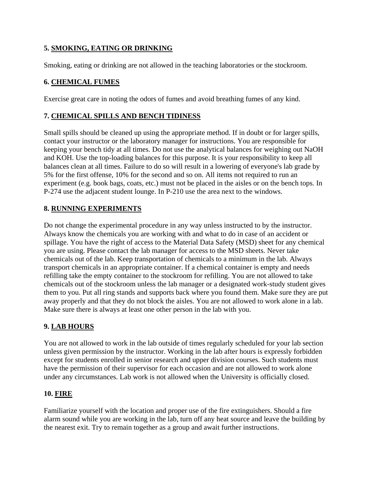# **5. SMOKING, EATING OR DRINKING**

Smoking, eating or drinking are not allowed in the teaching laboratories or the stockroom.

# **6. CHEMICAL FUMES**

Exercise great care in noting the odors of fumes and avoid breathing fumes of any kind.

# **7. CHEMICAL SPILLS AND BENCH TIDINESS**

Small spills should be cleaned up using the appropriate method. If in doubt or for larger spills, contact your instructor or the laboratory manager for instructions. You are responsible for keeping your bench tidy at all times. Do not use the analytical balances for weighing out NaOH and KOH. Use the top-loading balances for this purpose. It is your responsibility to keep all balances clean at all times. Failure to do so will result in a lowering of everyone's lab grade by 5% for the first offense, 10% for the second and so on. All items not required to run an experiment (e.g. book bags, coats, etc.) must not be placed in the aisles or on the bench tops. In P-274 use the adjacent student lounge. In P-210 use the area next to the windows.

# **8. RUNNING EXPERIMENTS**

Do not change the experimental procedure in any way unless instructed to by the instructor. Always know the chemicals you are working with and what to do in case of an accident or spillage. You have the right of access to the Material Data Safety (MSD) sheet for any chemical you are using. Please contact the lab manager for access to the MSD sheets. Never take chemicals out of the lab. Keep transportation of chemicals to a minimum in the lab. Always transport chemicals in an appropriate container. If a chemical container is empty and needs refilling take the empty container to the stockroom for refilling. You are not allowed to take chemicals out of the stockroom unless the lab manager or a designated work-study student gives them to you. Put all ring stands and supports back where you found them. Make sure they are put away properly and that they do not block the aisles. You are not allowed to work alone in a lab. Make sure there is always at least one other person in the lab with you.

# **9. LAB HOURS**

You are not allowed to work in the lab outside of times regularly scheduled for your lab section unless given permission by the instructor. Working in the lab after hours is expressly forbidden except for students enrolled in senior research and upper division courses. Such students must have the permission of their supervisor for each occasion and are not allowed to work alone under any circumstances. Lab work is not allowed when the University is officially closed.

# **10. FIRE**

Familiarize yourself with the location and proper use of the fire extinguishers. Should a fire alarm sound while you are working in the lab, turn off any heat source and leave the building by the nearest exit. Try to remain together as a group and await further instructions.